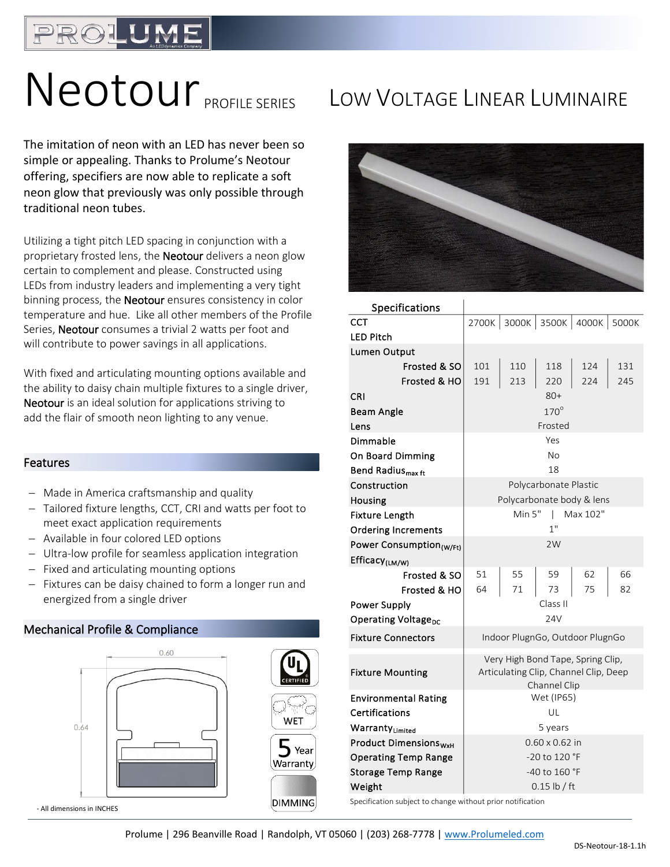## PROLUME

ľ

# Neotour PROFILE SERIES LOW VOLTAGE LINEAR LUMINAIRE

The imitation of neon with an LED has never been so simple or appealing. Thanks to Prolume's Neotour offering, specifiers are now able to replicate a soft neon glow that previously was only possible through traditional neon tubes.

Utilizing a tight pitch LED spacing in conjunction with a proprietary frosted lens, the Neotour delivers a neon glow certain to complement and please. Constructed using LEDs from industry leaders and implementing a very tight binning process, the **Neotour** ensures consistency in color temperature and hue. Like all other members of the Profile Series, **Neotour** consumes a trivial 2 watts per foot and will contribute to power savings in all applications.

With fixed and articulating mounting options available and the ability to daisy chain multiple fixtures to a single driver, Neotour is an ideal solution for applications striving to add the flair of smooth neon lighting to any venue.

## Features

- − Made in America craftsmanship and quality
- − Tailored fixture lengths, CCT, CRI and watts per foot to meet exact application requirements
- − Available in four colored LED options
- − Ultra-low profile for seamless application integration
- − Fixed and articulating mounting options
- − Fixtures can be daisy chained to form a longer run and energized from a single driver

## Mechanical Profile & Compliance





| Specifications                      |                                       |
|-------------------------------------|---------------------------------------|
| сст                                 | 2700K 3000K 3500K 4000K 5000K         |
| <b>LED Pitch</b>                    |                                       |
| Lumen Output                        |                                       |
| Frosted & SO                        | 101<br>110<br>118<br>124<br>131       |
| Frosted & HO                        | 191<br>213<br>220<br>224<br>245       |
| CRI                                 | 80+                                   |
| Beam Angle                          | $170^\circ$                           |
| Lens                                | Frosted                               |
| Dimmable                            | Yes                                   |
| <b>On Board Dimming</b>             | No                                    |
| Bend Radius <sub>max ft</sub>       | 18                                    |
| Construction                        | Polycarbonate Plastic                 |
| Housing                             | Polycarbonate body & lens             |
| <b>Fixture Length</b>               | Min 5"<br>Max 102"<br>T               |
| <b>Ordering Increments</b>          | $1$ "                                 |
| Power Consumption <sub>(W/Ft)</sub> | 2W                                    |
| Efficacy <sub>(LM/W)</sub>          |                                       |
| Frosted & SO                        | 51<br>55<br>59<br>62<br>66            |
| Frosted & HO                        | 64<br>71<br>75<br>73<br>82            |
| <b>Power Supply</b>                 | Class II                              |
| Operating Voltage <sub>DC</sub>     | 24V                                   |
| <b>Fixture Connectors</b>           | Indoor PlugnGo, Outdoor PlugnGo       |
|                                     | Very High Bond Tape, Spring Clip,     |
| <b>Fixture Mounting</b>             | Articulating Clip, Channel Clip, Deep |
| <b>Environmental Rating</b>         | Channel Clip<br>Wet (IP65)            |
| Certifications                      | UL                                    |
| WarrantyLimited                     | 5 years                               |
| <b>Product Dimensions</b> WYH       | $0.60 \times 0.62$ in                 |
| <b>Operating Temp Range</b>         | -20 to 120 °F                         |
| <b>Storage Temp Range</b>           | -40 to 160 °F                         |
| Weight                              | $0.15$ lb / ft                        |
|                                     |                                       |

Specification subject to change without prior notification